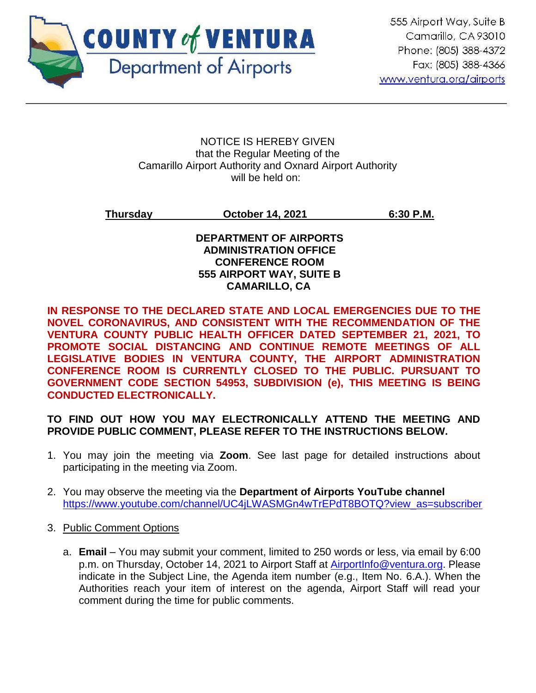

#### NOTICE IS HEREBY GIVEN that the Regular Meeting of the Camarillo Airport Authority and Oxnard Airport Authority will be held on:

**Thursday October 14, 2021 6:30 P.M.**

# **DEPARTMENT OF AIRPORTS ADMINISTRATION OFFICE CONFERENCE ROOM 555 AIRPORT WAY, SUITE B CAMARILLO, CA**

**IN RESPONSE TO THE DECLARED STATE AND LOCAL EMERGENCIES DUE TO THE NOVEL CORONAVIRUS, AND CONSISTENT WITH THE RECOMMENDATION OF THE VENTURA COUNTY PUBLIC HEALTH OFFICER DATED SEPTEMBER 21, 2021, TO PROMOTE SOCIAL DISTANCING AND CONTINUE REMOTE MEETINGS OF ALL LEGISLATIVE BODIES IN VENTURA COUNTY, THE AIRPORT ADMINISTRATION CONFERENCE ROOM IS CURRENTLY CLOSED TO THE PUBLIC. PURSUANT TO GOVERNMENT CODE SECTION 54953, SUBDIVISION (e), THIS MEETING IS BEING CONDUCTED ELECTRONICALLY.**

**TO FIND OUT HOW YOU MAY ELECTRONICALLY ATTEND THE MEETING AND PROVIDE PUBLIC COMMENT, PLEASE REFER TO THE INSTRUCTIONS BELOW.** 

- 1. You may join the meeting via **Zoom**. See last page for detailed instructions about participating in the meeting via Zoom.
- 2. You may observe the meeting via the **Department of Airports YouTube channel** [https://www.youtube.com/channel/UC4jLWASMGn4wTrEPdT8BOTQ?view\\_as=subscriber](https://www.youtube.com/channel/UC4jLWASMGn4wTrEPdT8BOTQ?view_as=subscriber)
- 3. Public Comment Options
	- a. **Email**  You may submit your comment, limited to 250 words or less, via email by 6:00 p.m. on Thursday, October 14, 2021 to Airport Staff at [AirportInfo@ventura.org.](mailto:AirportInfo@ventura.org) Please indicate in the Subject Line, the Agenda item number (e.g., Item No. 6.A.). When the Authorities reach your item of interest on the agenda, Airport Staff will read your comment during the time for public comments.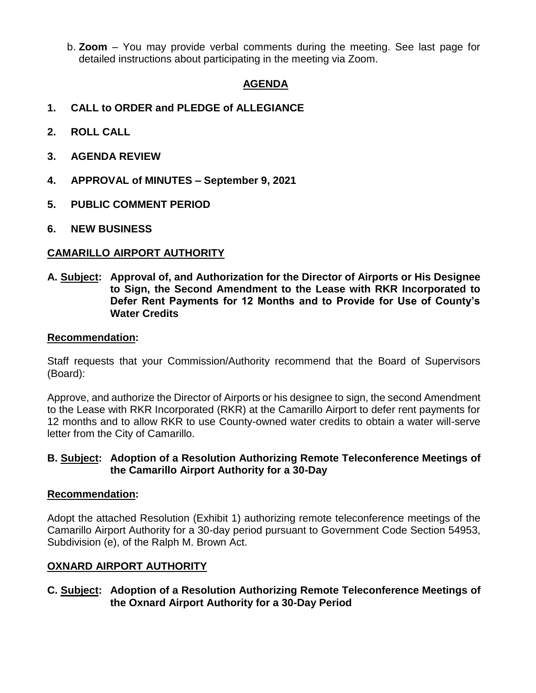b. **Zoom** – You may provide verbal comments during the meeting. See last page for detailed instructions about participating in the meeting via Zoom.

# **AGENDA**

- **1. CALL to ORDER and PLEDGE of ALLEGIANCE**
- **2. ROLL CALL**
- **3. AGENDA REVIEW**
- **4. APPROVAL of MINUTES – September 9, 2021**
- **5. PUBLIC COMMENT PERIOD**
- **6. NEW BUSINESS**

# **CAMARILLO AIRPORT AUTHORITY**

**A. Subject: Approval of, and Authorization for the Director of Airports or His Designee to Sign, the Second Amendment to the Lease with RKR Incorporated to Defer Rent Payments for 12 Months and to Provide for Use of County's Water Credits**

#### **Recommendation:**

Staff requests that your Commission/Authority recommend that the Board of Supervisors (Board):

Approve, and authorize the Director of Airports or his designee to sign, the second Amendment to the Lease with RKR Incorporated (RKR) at the Camarillo Airport to defer rent payments for 12 months and to allow RKR to use County-owned water credits to obtain a water will-serve letter from the City of Camarillo.

# **B. Subject: Adoption of a Resolution Authorizing Remote Teleconference Meetings of the Camarillo Airport Authority for a 30-Day**

# **Recommendation:**

Adopt the attached Resolution (Exhibit 1) authorizing remote teleconference meetings of the Camarillo Airport Authority for a 30-day period pursuant to Government Code Section 54953, Subdivision (e), of the Ralph M. Brown Act.

# **OXNARD AIRPORT AUTHORITY**

**C. Subject: Adoption of a Resolution Authorizing Remote Teleconference Meetings of the Oxnard Airport Authority for a 30-Day Period**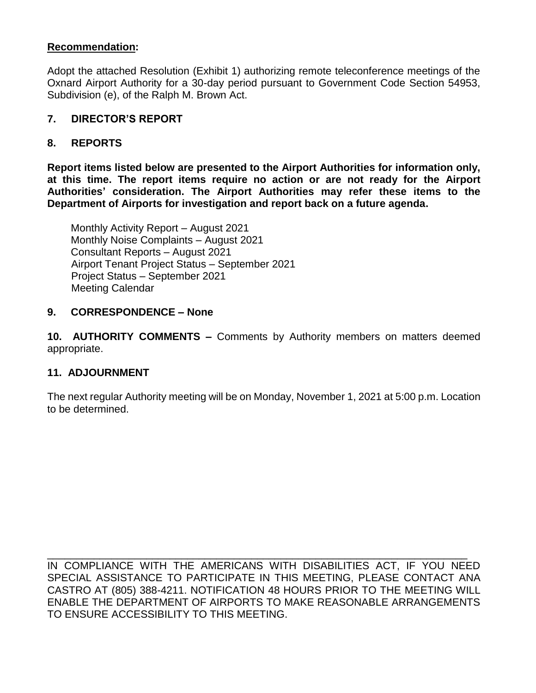# **Recommendation:**

Adopt the attached Resolution (Exhibit 1) authorizing remote teleconference meetings of the Oxnard Airport Authority for a 30-day period pursuant to Government Code Section 54953, Subdivision (e), of the Ralph M. Brown Act.

# **7. DIRECTOR'S REPORT**

# **8. REPORTS**

**Report items listed below are presented to the Airport Authorities for information only, at this time. The report items require no action or are not ready for the Airport Authorities' consideration. The Airport Authorities may refer these items to the Department of Airports for investigation and report back on a future agenda.** 

Monthly Activity Report – August 2021 Monthly Noise Complaints – August 2021 Consultant Reports – August 2021 Airport Tenant Project Status – September 2021 Project Status – September 2021 Meeting Calendar

#### **9. CORRESPONDENCE – None**

**10. AUTHORITY COMMENTS –** Comments by Authority members on matters deemed appropriate.

# **11. ADJOURNMENT**

The next regular Authority meeting will be on Monday, November 1, 2021 at 5:00 p.m. Location to be determined.

IN COMPLIANCE WITH THE AMERICANS WITH DISABILITIES ACT, IF YOU NEED SPECIAL ASSISTANCE TO PARTICIPATE IN THIS MEETING, PLEASE CONTACT ANA CASTRO AT (805) 388-4211. NOTIFICATION 48 HOURS PRIOR TO THE MEETING WILL ENABLE THE DEPARTMENT OF AIRPORTS TO MAKE REASONABLE ARRANGEMENTS TO ENSURE ACCESSIBILITY TO THIS MEETING.

\_\_\_\_\_\_\_\_\_\_\_\_\_\_\_\_\_\_\_\_\_\_\_\_\_\_\_\_\_\_\_\_\_\_\_\_\_\_\_\_\_\_\_\_\_\_\_\_\_\_\_\_\_\_\_\_\_\_\_\_\_\_\_\_\_\_\_\_\_\_\_\_